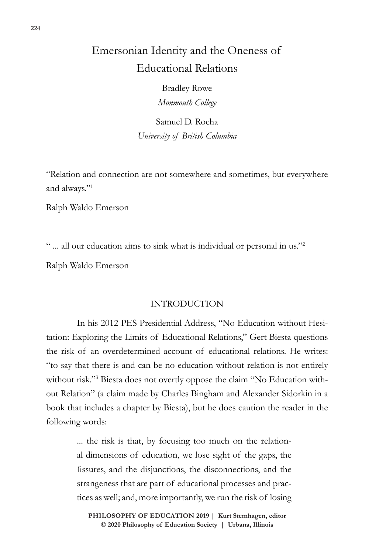## Emersonian Identity and the Oneness of Educational Relations

Bradley Rowe *Monmouth College*

Samuel D. Rocha *University of British Columbia*

"Relation and connection are not somewhere and sometimes, but everywhere and always."1

Ralph Waldo Emerson

" ... all our education aims to sink what is individual or personal in us."2

Ralph Waldo Emerson

## INTRODUCTION

In his 2012 PES Presidential Address, "No Education without Hesitation: Exploring the Limits of Educational Relations," Gert Biesta questions the risk of an overdetermined account of educational relations. He writes: "to say that there is and can be no education without relation is not entirely without risk."3 Biesta does not overtly oppose the claim "No Education without Relation" (a claim made by Charles Bingham and Alexander Sidorkin in a book that includes a chapter by Biesta), but he does caution the reader in the following words:

> ... the risk is that, by focusing too much on the relational dimensions of education, we lose sight of the gaps, the fissures, and the disjunctions, the disconnections, and the strangeness that are part of educational processes and practices as well; and, more importantly, we run the risk of losing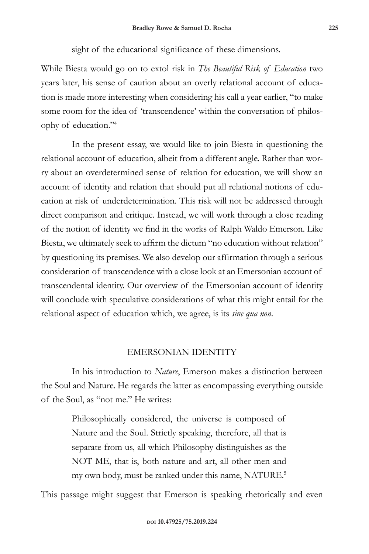sight of the educational significance of these dimensions.

While Biesta would go on to extol risk in *The Beautiful Risk of Education* two years later, his sense of caution about an overly relational account of education is made more interesting when considering his call a year earlier, "to make some room for the idea of 'transcendence' within the conversation of philosophy of education."4

In the present essay, we would like to join Biesta in questioning the relational account of education, albeit from a different angle. Rather than worry about an overdetermined sense of relation for education, we will show an account of identity and relation that should put all relational notions of education at risk of underdetermination. This risk will not be addressed through direct comparison and critique. Instead, we will work through a close reading of the notion of identity we find in the works of Ralph Waldo Emerson. Like Biesta, we ultimately seek to affirm the dictum "no education without relation" by questioning its premises. We also develop our affirmation through a serious consideration of transcendence with a close look at an Emersonian account of transcendental identity. Our overview of the Emersonian account of identity will conclude with speculative considerations of what this might entail for the relational aspect of education which, we agree, is its *sine qua non*.

## EMERSONIAN IDENTITY

In his introduction to *Nature*, Emerson makes a distinction between the Soul and Nature. He regards the latter as encompassing everything outside of the Soul, as "not me." He writes:

> Philosophically considered, the universe is composed of Nature and the Soul. Strictly speaking, therefore, all that is separate from us, all which Philosophy distinguishes as the NOT ME, that is, both nature and art, all other men and my own body, must be ranked under this name, NATURE.<sup>5</sup>

This passage might suggest that Emerson is speaking rhetorically and even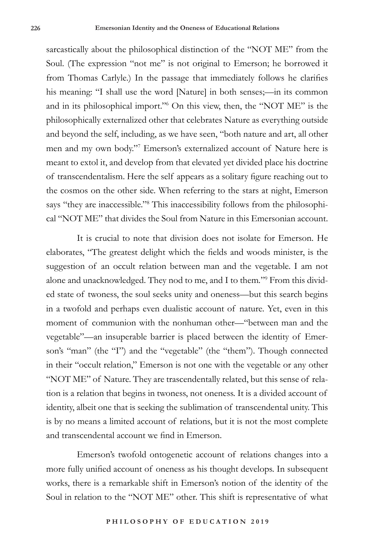sarcastically about the philosophical distinction of the "NOT ME" from the Soul. (The expression "not me" is not original to Emerson; he borrowed it from Thomas Carlyle.) In the passage that immediately follows he clarifies his meaning: "I shall use the word [Nature] in both senses;—in its common and in its philosophical import."6 On this view, then, the "NOT ME" is the philosophically externalized other that celebrates Nature as everything outside and beyond the self, including, as we have seen, "both nature and art, all other men and my own body."7 Emerson's externalized account of Nature here is meant to extol it, and develop from that elevated yet divided place his doctrine of transcendentalism. Here the self appears as a solitary figure reaching out to the cosmos on the other side. When referring to the stars at night, Emerson says "they are inaccessible."8 This inaccessibility follows from the philosophical "NOT ME" that divides the Soul from Nature in this Emersonian account.

It is crucial to note that division does not isolate for Emerson. He elaborates, "The greatest delight which the fields and woods minister, is the suggestion of an occult relation between man and the vegetable. I am not alone and unacknowledged. They nod to me, and I to them*.*"9 From this divided state of twoness, the soul seeks unity and oneness—but this search begins in a twofold and perhaps even dualistic account of nature. Yet, even in this moment of communion with the nonhuman other—"between man and the vegetable"—an insuperable barrier is placed between the identity of Emerson's "man" (the "I") and the "vegetable" (the "them"). Though connected in their "occult relation," Emerson is not one with the vegetable or any other "NOT ME" of Nature. They are trascendentally related, but this sense of relation is a relation that begins in twoness, not oneness. It is a divided account of identity, albeit one that is seeking the sublimation of transcendental unity. This is by no means a limited account of relations, but it is not the most complete and transcendental account we find in Emerson.

Emerson's twofold ontogenetic account of relations changes into a more fully unified account of oneness as his thought develops. In subsequent works, there is a remarkable shift in Emerson's notion of the identity of the Soul in relation to the "NOT ME" other. This shift is representative of what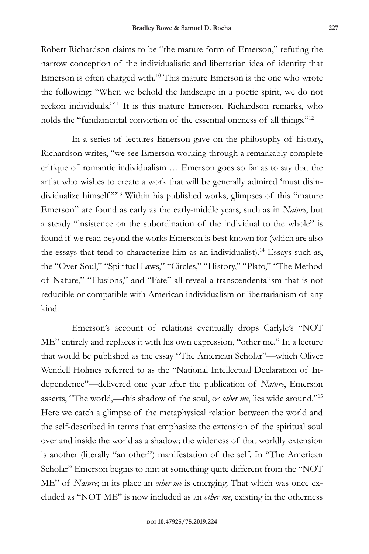Robert Richardson claims to be "the mature form of Emerson," refuting the narrow conception of the individualistic and libertarian idea of identity that Emerson is often charged with.<sup>10</sup> This mature Emerson is the one who wrote the following: "When we behold the landscape in a poetic spirit, we do not reckon individuals."11 It is this mature Emerson, Richardson remarks, who holds the "fundamental conviction of the essential oneness of all things."<sup>12</sup>

In a series of lectures Emerson gave on the philosophy of history, Richardson writes, "we see Emerson working through a remarkably complete critique of romantic individualism … Emerson goes so far as to say that the artist who wishes to create a work that will be generally admired 'must disindividualize himself.'"13 Within his published works, glimpses of this "mature Emerson" are found as early as the early-middle years, such as in *Nature*, but a steady "insistence on the subordination of the individual to the whole" is found if we read beyond the works Emerson is best known for (which are also the essays that tend to characterize him as an individualist).<sup>14</sup> Essays such as, the "Over-Soul," "Spiritual Laws," "Circles," "History," "Plato," "The Method of Nature," "Illusions," and "Fate" all reveal a transcendentalism that is not reducible or compatible with American individualism or libertarianism of any kind.

Emerson's account of relations eventually drops Carlyle's "NOT ME" entirely and replaces it with his own expression, "other me." In a lecture that would be published as the essay "The American Scholar"—which Oliver Wendell Holmes referred to as the "National Intellectual Declaration of Independence"—delivered one year after the publication of *Nature*, Emerson asserts, "The world,—this shadow of the soul, or *other me*, lies wide around."15 Here we catch a glimpse of the metaphysical relation between the world and the self-described in terms that emphasize the extension of the spiritual soul over and inside the world as a shadow; the wideness of that worldly extension is another (literally "an other") manifestation of the self. In "The American Scholar" Emerson begins to hint at something quite different from the "NOT ME" of *Nature*; in its place an *other me* is emerging. That which was once excluded as "NOT ME" is now included as an *other me*, existing in the otherness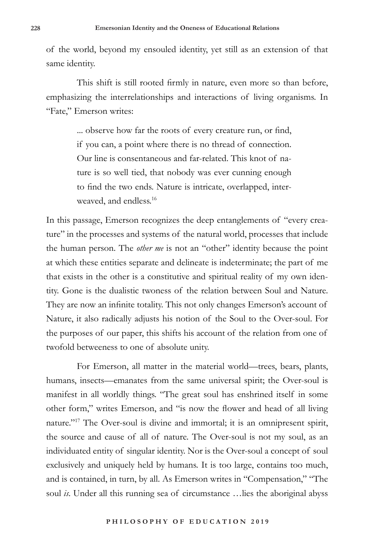of the world, beyond my ensouled identity, yet still as an extension of that same identity.

This shift is still rooted firmly in nature, even more so than before, emphasizing the interrelationships and interactions of living organisms. In "Fate," Emerson writes:

> ... observe how far the roots of every creature run, or find, if you can, a point where there is no thread of connection. Our line is consentaneous and far-related. This knot of nature is so well tied, that nobody was ever cunning enough to find the two ends. Nature is intricate, overlapped, interweaved, and endless.<sup>16</sup>

In this passage, Emerson recognizes the deep entanglements of "every creature" in the processes and systems of the natural world, processes that include the human person. The *other me* is not an "other" identity because the point at which these entities separate and delineate is indeterminate; the part of me that exists in the other is a constitutive and spiritual reality of my own identity. Gone is the dualistic twoness of the relation between Soul and Nature. They are now an infinite totality. This not only changes Emerson's account of Nature, it also radically adjusts his notion of the Soul to the Over-soul. For the purposes of our paper, this shifts his account of the relation from one of twofold betweeness to one of absolute unity.

For Emerson, all matter in the material world—trees, bears, plants, humans, insects—emanates from the same universal spirit; the Over-soul is manifest in all worldly things. "The great soul has enshrined itself in some other form," writes Emerson, and "is now the flower and head of all living nature."17 The Over-soul is divine and immortal; it is an omnipresent spirit, the source and cause of all of nature. The Over-soul is not my soul, as an individuated entity of singular identity. Nor is the Over-soul a concept of soul exclusively and uniquely held by humans. It is too large, contains too much, and is contained, in turn, by all. As Emerson writes in "Compensation," "The soul *is*. Under all this running sea of circumstance …lies the aboriginal abyss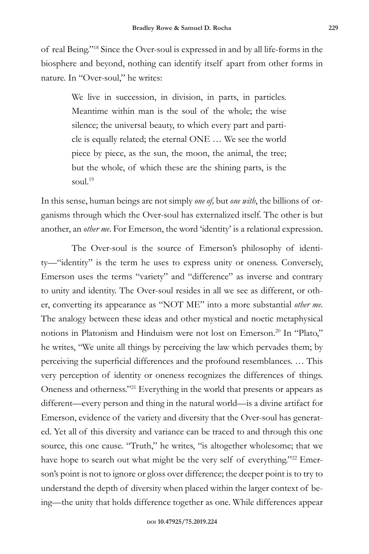of real Being."18 Since the Over-soul is expressed in and by all life-forms in the biosphere and beyond, nothing can identify itself apart from other forms in nature. In "Over-soul," he writes:

> We live in succession, in division, in parts, in particles. Meantime within man is the soul of the whole; the wise silence; the universal beauty, to which every part and particle is equally related; the eternal ONE … We see the world piece by piece, as the sun, the moon, the animal, the tree; but the whole, of which these are the shining parts, is the soul.<sup>19</sup>

In this sense, human beings are not simply *one of,* but *one with*, the billions of organisms through which the Over-soul has externalized itself. The other is but another, an *other me*. For Emerson, the word 'identity' is a relational expression.

The Over-soul is the source of Emerson's philosophy of identity—"identity" is the term he uses to express unity or oneness. Conversely, Emerson uses the terms "variety" and "difference" as inverse and contrary to unity and identity. The Over-soul resides in all we see as different, or other, converting its appearance as "NOT ME" into a more substantial *other me*. The analogy between these ideas and other mystical and noetic metaphysical notions in Platonism and Hinduism were not lost on Emerson.<sup>20</sup> In "Plato," he writes, "We unite all things by perceiving the law which pervades them; by perceiving the superficial differences and the profound resemblances. … This very perception of identity or oneness recognizes the differences of things. Oneness and otherness."21 Everything in the world that presents or appears as different—every person and thing in the natural world—is a divine artifact for Emerson, evidence of the variety and diversity that the Over-soul has generated. Yet all of this diversity and variance can be traced to and through this one source, this one cause. "Truth," he writes, "is altogether wholesome; that we have hope to search out what might be the very self of everything."<sup>22</sup> Emerson's point is not to ignore or gloss over difference; the deeper point is to try to understand the depth of diversity when placed within the larger context of being—the unity that holds difference together as one. While differences appear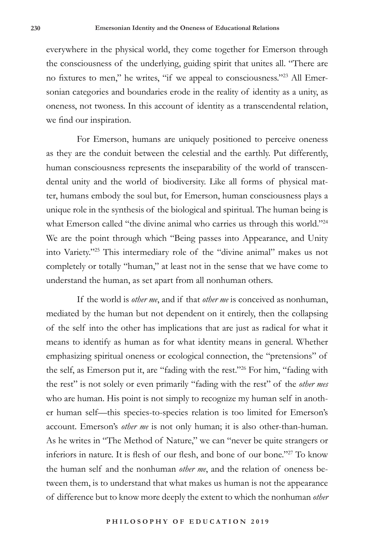everywhere in the physical world, they come together for Emerson through the consciousness of the underlying, guiding spirit that unites all. "There are no fixtures to men," he writes, "if we appeal to consciousness."23 All Emersonian categories and boundaries erode in the reality of identity as a unity, as oneness, not twoness. In this account of identity as a transcendental relation, we find our inspiration.

For Emerson, humans are uniquely positioned to perceive oneness as they are the conduit between the celestial and the earthly. Put differently, human consciousness represents the inseparability of the world of transcendental unity and the world of biodiversity. Like all forms of physical matter, humans embody the soul but, for Emerson, human consciousness plays a unique role in the synthesis of the biological and spiritual. The human being is what Emerson called "the divine animal who carries us through this world."<sup>24</sup> We are the point through which "Being passes into Appearance, and Unity into Variety."25 This intermediary role of the "divine animal" makes us not completely or totally "human," at least not in the sense that we have come to understand the human, as set apart from all nonhuman others.

If the world is *other me*, and if that *other me* is conceived as nonhuman, mediated by the human but not dependent on it entirely, then the collapsing of the self into the other has implications that are just as radical for what it means to identify as human as for what identity means in general. Whether emphasizing spiritual oneness or ecological connection, the "pretensions" of the self, as Emerson put it, are "fading with the rest."26 For him, "fading with the rest" is not solely or even primarily "fading with the rest" of the *other mes* who are human. His point is not simply to recognize my human self in another human self—this species-to-species relation is too limited for Emerson's account. Emerson's *other me* is not only human; it is also other-than-human. As he writes in "The Method of Nature," we can "never be quite strangers or inferiors in nature. It is flesh of our flesh, and bone of our bone."27 To know the human self and the nonhuman *other me*, and the relation of oneness between them, is to understand that what makes us human is not the appearance of difference but to know more deeply the extent to which the nonhuman *other*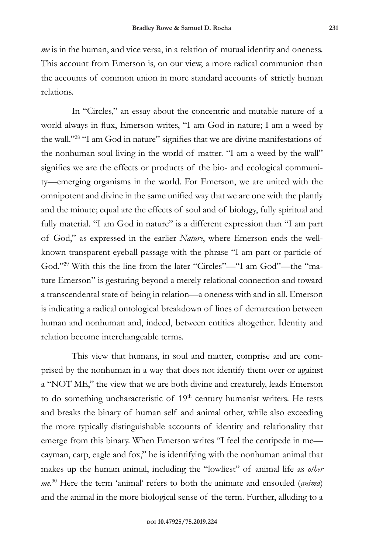*me* is in the human, and vice versa, in a relation of mutual identity and oneness. This account from Emerson is, on our view, a more radical communion than the accounts of common union in more standard accounts of strictly human relations.

In "Circles," an essay about the concentric and mutable nature of a world always in flux, Emerson writes, "I am God in nature; I am a weed by the wall."28 "I am God in nature" signifies that we are divine manifestations of the nonhuman soul living in the world of matter. "I am a weed by the wall" signifies we are the effects or products of the bio- and ecological community—emerging organisms in the world. For Emerson, we are united with the omnipotent and divine in the same unified way that we are one with the plantly and the minute; equal are the effects of soul and of biology, fully spiritual and fully material. "I am God in nature" is a different expression than "I am part of God," as expressed in the earlier *Nature*, where Emerson ends the wellknown transparent eyeball passage with the phrase "I am part or particle of God."29 With this the line from the later "Circles"—"I am God"—the "mature Emerson" is gesturing beyond a merely relational connection and toward a transcendental state of being in relation—a oneness with and in all. Emerson is indicating a radical ontological breakdown of lines of demarcation between human and nonhuman and, indeed, between entities altogether. Identity and relation become interchangeable terms.

This view that humans, in soul and matter, comprise and are comprised by the nonhuman in a way that does not identify them over or against a "NOT ME," the view that we are both divine and creaturely, leads Emerson to do something uncharacteristic of 19<sup>th</sup> century humanist writers. He tests and breaks the binary of human self and animal other, while also exceeding the more typically distinguishable accounts of identity and relationality that emerge from this binary. When Emerson writes "I feel the centipede in me cayman, carp, eagle and fox," he is identifying with the nonhuman animal that makes up the human animal, including the "lowliest" of animal life as *other me*. 30 Here the term 'animal' refers to both the animate and ensouled (*anima*) and the animal in the more biological sense of the term. Further, alluding to a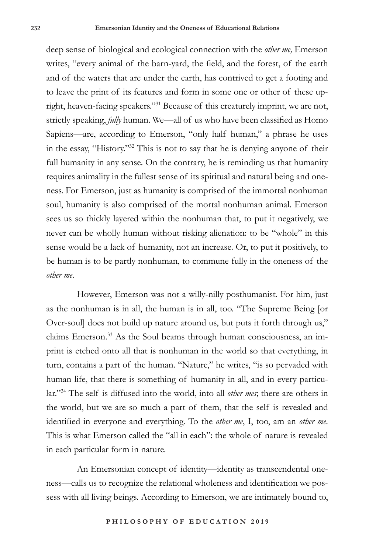deep sense of biological and ecological connection with the *other me,* Emerson writes, "every animal of the barn-yard, the field, and the forest, of the earth and of the waters that are under the earth, has contrived to get a footing and to leave the print of its features and form in some one or other of these upright, heaven-facing speakers."31 Because of this creaturely imprint, we are not, strictly speaking, *fully* human. We—all of us who have been classified as Homo Sapiens—are, according to Emerson, "only half human," a phrase he uses in the essay, "History."32 This is not to say that he is denying anyone of their full humanity in any sense. On the contrary, he is reminding us that humanity requires animality in the fullest sense of its spiritual and natural being and oneness. For Emerson, just as humanity is comprised of the immortal nonhuman soul, humanity is also comprised of the mortal nonhuman animal. Emerson sees us so thickly layered within the nonhuman that, to put it negatively, we never can be wholly human without risking alienation: to be "whole" in this sense would be a lack of humanity, not an increase. Or, to put it positively, to be human is to be partly nonhuman, to commune fully in the oneness of the *other me*.

However, Emerson was not a willy-nilly posthumanist. For him, just as the nonhuman is in all, the human is in all, too. "The Supreme Being [or Over-soul] does not build up nature around us, but puts it forth through us," claims Emerson.33 As the Soul beams through human consciousness, an imprint is etched onto all that is nonhuman in the world so that everything, in turn, contains a part of the human. "Nature," he writes, "is so pervaded with human life, that there is something of humanity in all, and in every particular."34 The self is diffused into the world, into all *other mes*; there are others in the world, but we are so much a part of them, that the self is revealed and identified in everyone and everything. To the *other me*, I, too, am an *other me*. This is what Emerson called the "all in each": the whole of nature is revealed in each particular form in nature.

An Emersonian concept of identity—identity as transcendental oneness—calls us to recognize the relational wholeness and identification we possess with all living beings. According to Emerson, we are intimately bound to,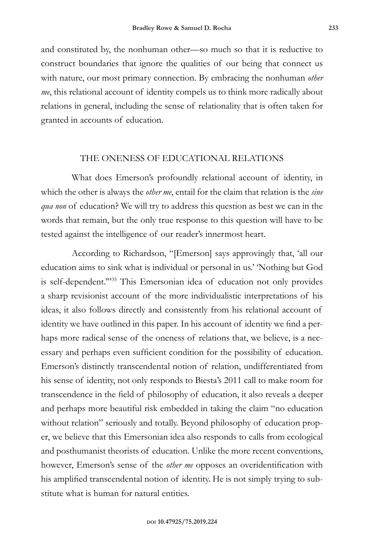and constituted by, the nonhuman other—so much so that it is reductive to construct boundaries that ignore the qualities of our being that connect us with nature, our most primary connection. By embracing the nonhuman *other me*, this relational account of identity compels us to think more radically about relations in general, including the sense of relationality that is often taken for granted in accounts of education.

## THE ONENESS OF EDUCATIONAL RELATIONS

What does Emerson's profoundly relational account of identity, in which the other is always the *other me*, entail for the claim that relation is the *sine qua non* of education? We will try to address this question as best we can in the words that remain, but the only true response to this question will have to be tested against the intelligence of our reader's innermost heart.

According to Richardson, "[Emerson] says approvingly that, 'all our education aims to sink what is individual or personal in us.' 'Nothing but God is self-dependent."<sup>35</sup> This Emersonian idea of education not only provides a sharp revisionist account of the more individualistic interpretations of his ideas, it also follows directly and consistently from his relational account of identity we have outlined in this paper. In his account of identity we find a perhaps more radical sense of the oneness of relations that, we believe, is a necessary and perhaps even sufficient condition for the possibility of education. Emerson's distinctly transcendental notion of relation, undifferentiated from his sense of identity, not only responds to Biesta's 2011 call to make room for transcendence in the field of philosophy of education, it also reveals a deeper and perhaps more beautiful risk embedded in taking the claim "no education without relation" seriously and totally. Beyond philosophy of education proper, we believe that this Emersonian idea also responds to calls from ecological and posthumanist theorists of education. Unlike the more recent conventions, however, Emerson's sense of the *other me* opposes an overidentification with his amplified transcendental notion of identity. He is not simply trying to substitute what is human for natural entities.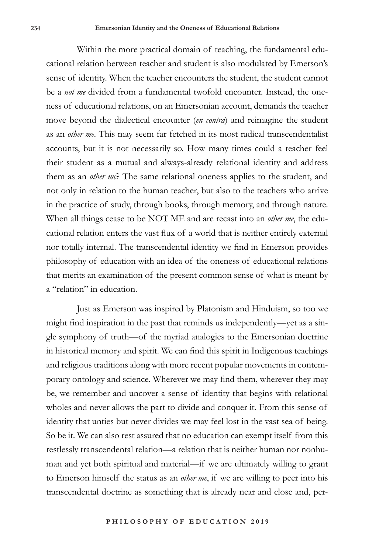Within the more practical domain of teaching, the fundamental educational relation between teacher and student is also modulated by Emerson's sense of identity. When the teacher encounters the student, the student cannot be a *not me* divided from a fundamental twofold encounter. Instead, the oneness of educational relations, on an Emersonian account, demands the teacher move beyond the dialectical encounter (*en contra*) and reimagine the student as an *other me*. This may seem far fetched in its most radical transcendentalist accounts, but it is not necessarily so. How many times could a teacher feel their student as a mutual and always-already relational identity and address them as an *other me*? The same relational oneness applies to the student, and not only in relation to the human teacher, but also to the teachers who arrive in the practice of study, through books, through memory, and through nature. When all things cease to be NOT ME and are recast into an *other me*, the educational relation enters the vast flux of a world that is neither entirely external nor totally internal. The transcendental identity we find in Emerson provides philosophy of education with an idea of the oneness of educational relations that merits an examination of the present common sense of what is meant by a "relation" in education.

Just as Emerson was inspired by Platonism and Hinduism, so too we might find inspiration in the past that reminds us independently—yet as a single symphony of truth—of the myriad analogies to the Emersonian doctrine in historical memory and spirit. We can find this spirit in Indigenous teachings and religious traditions along with more recent popular movements in contemporary ontology and science. Wherever we may find them, wherever they may be, we remember and uncover a sense of identity that begins with relational wholes and never allows the part to divide and conquer it. From this sense of identity that unties but never divides we may feel lost in the vast sea of being. So be it. We can also rest assured that no education can exempt itself from this restlessly transcendental relation—a relation that is neither human nor nonhuman and yet both spiritual and material—if we are ultimately willing to grant to Emerson himself the status as an *other me*, if we are willing to peer into his transcendental doctrine as something that is already near and close and, per-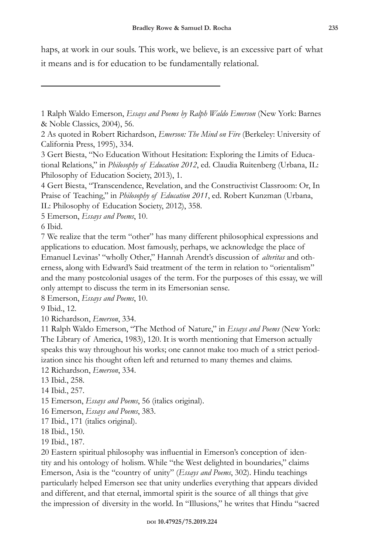haps, at work in our souls. This work, we believe, is an excessive part of what it means and is for education to be fundamentally relational.

5 Emerson, *Essays and Poems*, 10.

6 Ibid.

7 We realize that the term "other" has many different philosophical expressions and applications to education. Most famously, perhaps, we acknowledge the place of Emanuel Levinas' "wholly Other," Hannah Arendt's discussion of *alteritas* and otherness, along with Edward's Said treatment of the term in relation to "orientalism" and the many postcolonial usages of the term. For the purposes of this essay, we will only attempt to discuss the term in its Emersonian sense.

8 Emerson, *Essays and Poems*, 10.

9 Ibid., 12.

10 Richardson, *Emerson*, 334.

11 Ralph Waldo Emerson, "The Method of Nature," in *Essays and Poems* (New York: The Library of America, 1983), 120. It is worth mentioning that Emerson actually speaks this way throughout his works; one cannot make too much of a strict periodization since his thought often left and returned to many themes and claims.

12 Richardson, *Emerson*, 334.

13 Ibid., 258.

14 Ibid., 257.

15 Emerson, *Essays and Poems*, 56 (italics original).

16 Emerson, *Essays and Poems*, 383.

17 Ibid., 171 (italics original).

18 Ibid., 150.

19 Ibid., 187.

20 Eastern spiritual philosophy was influential in Emerson's conception of identity and his ontology of holism. While "the West delighted in boundaries," claims Emerson, Asia is the "country of unity" (*Essays and Poems*, 302). Hindu teachings particularly helped Emerson see that unity underlies everything that appears divided and different, and that eternal, immortal spirit is the source of all things that give the impression of diversity in the world. In "Illusions," he writes that Hindu "sacred

<sup>1</sup> Ralph Waldo Emerson, *Essays and Poems by Ralph Waldo Emerson* (New York: Barnes & Noble Classics, 2004), 56.

<sup>2</sup> As quoted in Robert Richardson, *Emerson: The Mind on Fire* (Berkeley: University of California Press, 1995), 334.

<sup>3</sup> Gert Biesta, "No Education Without Hesitation: Exploring the Limits of Educational Relations," in *Philosophy of Education 2012*, ed. Claudia Ruitenberg (Urbana, IL: Philosophy of Education Society, 2013), 1.

<sup>4</sup> Gert Biesta, "Transcendence, Revelation, and the Constructivist Classroom: Or, In Praise of Teaching," in *Philosophy of Education 2011*, ed. Robert Kunzman (Urbana, IL: Philosophy of Education Society, 2012), 358.